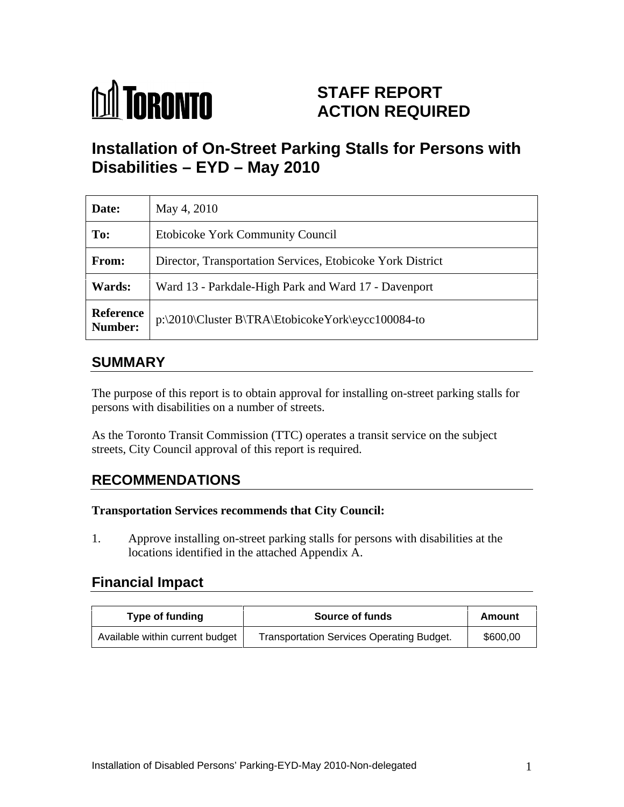

# **STAFF REPORT ACTION REQUIRED**

# **Installation of On-Street Parking Stalls for Persons with Disabilities – EYD – May 2010**

| Date:                | May 4, 2010                                                      |
|----------------------|------------------------------------------------------------------|
| To:                  | <b>Etobicoke York Community Council</b>                          |
| From:                | Director, Transportation Services, Etobicoke York District       |
| <b>Wards:</b>        | Ward 13 - Parkdale-High Park and Ward 17 - Davenport             |
| Reference<br>Number: | $ p:\2010\backslash Cluster\ B\{RA\}EtobicokeYork\eycc100084-to$ |

#### **SUMMARY**

The purpose of this report is to obtain approval for installing on-street parking stalls for persons with disabilities on a number of streets.

As the Toronto Transit Commission (TTC) operates a transit service on the subject streets, City Council approval of this report is required.

### **RECOMMENDATIONS**

#### **Transportation Services recommends that City Council:**

1. Approve installing on-street parking stalls for persons with disabilities at the locations identified in the attached Appendix A.

### **Financial Impact**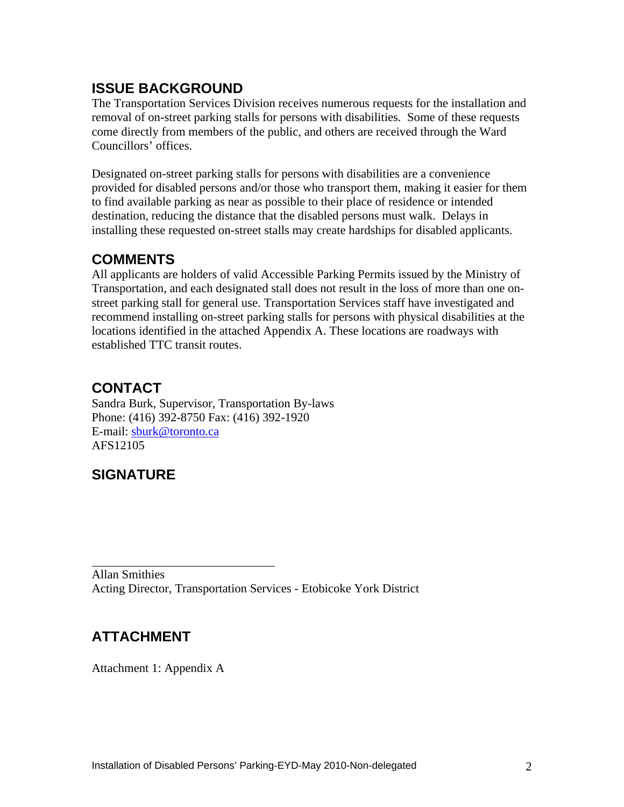## **ISSUE BACKGROUND**

The Transportation Services Division receives numerous requests for the installation and removal of on-street parking stalls for persons with disabilities. Some of these requests come directly from members of the public, and others are received through the Ward Councillors' offices.

Designated on-street parking stalls for persons with disabilities are a convenience provided for disabled persons and/or those who transport them, making it easier for them to find available parking as near as possible to their place of residence or intended destination, reducing the distance that the disabled persons must walk. Delays in installing these requested on-street stalls may create hardships for disabled applicants.

### **COMMENTS**

All applicants are holders of valid Accessible Parking Permits issued by the Ministry of Transportation, and each designated stall does not result in the loss of more than one on street parking stall for general use. Transportation Services staff have investigated and recommend installing on-street parking stalls for persons with physical disabilities at the locations identified in the attached Appendix A. These locations are roadways with established TTC transit routes.

## **CONTACT**

Sandra Burk, Supervisor, Transportation By-laws Phone: (416) 392-8750 Fax: (416) 392-1920 E-mail: sburk@toronto.ca AFS12105

## **SIGNATURE**

Allan Smithies Acting Director, Transportation Services - Etobicoke York District

## **ATTACHMENT**

Attachment 1: Appendix A